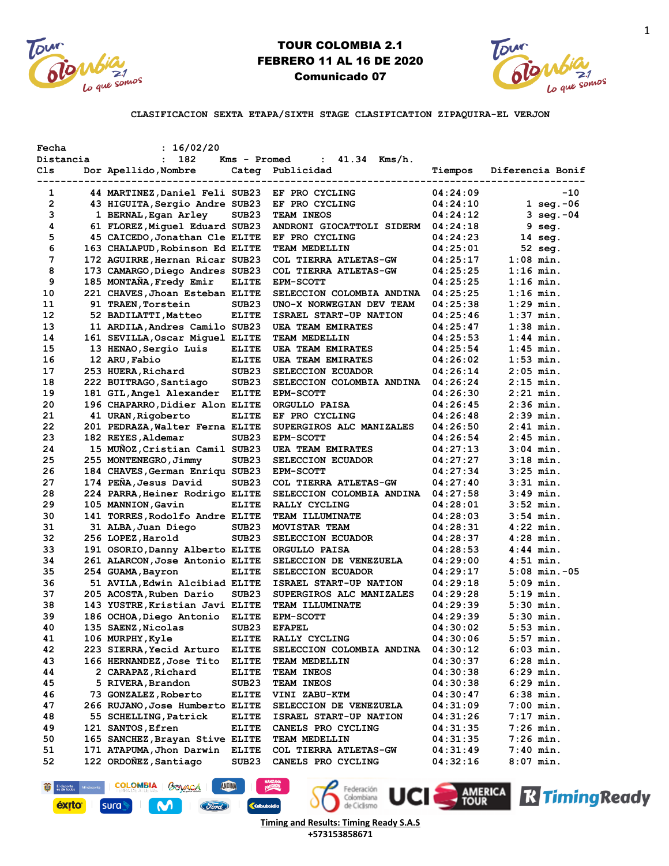



**CLASIFICACION SEXTA ETAPA/SIXTH STAGE CLASIFICATION ZIPAQUIRA-EL VERJON**

| Fecha          | : 16/02/20                      |                   |                           |          |                       |
|----------------|---------------------------------|-------------------|---------------------------|----------|-----------------------|
| Distancia      | 182                             | Kms - Promed      | : $41.34$ Kms/h.          |          |                       |
| Cls.           | Dor Apellido, Nombre            | Categ             | Publicidad                | Tiempos  | Diferencia Bonif      |
| 1              | 44 MARTINEZ, Daniel Feli SUB23  |                   | EF PRO CYCLING            | 04:24:09 | $-10$                 |
| $\overline{2}$ | 43 HIGUITA, Sergio Andre SUB23  |                   | EF PRO CYCLING            | 04:24:10 | $1 \text{ seq. } -06$ |
| 3              | 1 BERNAL, Egan Arley            | SUB <sub>23</sub> | TEAM INEOS                | 04:24:12 | 3 seg.-04             |
| 4              | 61 FLOREZ, Miquel Eduard SUB23  |                   | ANDRONI GIOCATTOLI SIDERM | 04:24:18 | $9 \text{ seq.}$      |
| 5              | 45 CAICEDO, Jonathan Cle ELITE  |                   | EF PRO CYCLING            | 04:24:23 | $14 \text{ seq.}$     |
| 6              | 163 CHALAPUD, Robinson Ed ELITE |                   | TEAM MEDELLIN             | 04:25:01 | 52 seg.               |
| 7              | 172 AGUIRRE, Hernan Ricar SUB23 |                   | COL TIERRA ATLETAS-GW     | 04:25:17 | $1:08$ min.           |
| 8              | 173 CAMARGO, Diego Andres SUB23 |                   | COL TIERRA ATLETAS-GW     | 04:25:25 | $1:16$ min.           |
| 9              | 185 MONTAÑA, Fredy Emir         | <b>ELITE</b>      | <b>EPM-SCOTT</b>          | 04:25:25 | $1:16$ min.           |
| 10             | 221 CHAVES, Jhoan Esteban ELITE |                   | SELECCION COLOMBIA ANDINA | 04:25:25 | $1:16$ min.           |
| 11             | 91 TRAEN, Torstein              | SUB <sub>23</sub> | UNO-X NORWEGIAN DEV TEAM  | 04:25:38 | $1:29$ min.           |
| 12             | 52 BADILATTI, Matteo            | <b>ELITE</b>      | ISRAEL START-UP NATION    | 04:25:46 | $1:37$ min.           |
| 13             | 11 ARDILA, Andres Camilo SUB23  |                   | <b>UEA TEAM EMIRATES</b>  | 04:25:47 | $1:38$ min.           |
| 14             | 161 SEVILLA, Oscar Miquel ELITE |                   | <b>TEAM MEDELLIN</b>      | 04:25:53 | $1:44$ min.           |
| 15             | 13 HENAO, Sergio Luis           | <b>ELITE</b>      | <b>UEA TEAM EMIRATES</b>  | 04:25:54 | $1:45$ min.           |
| 16             | 12 ARU, Fabio                   | <b>ELITE</b>      | <b>UEA TEAM EMIRATES</b>  | 04:26:02 | $1:53$ min.           |
| 17             | 253 HUERA, Richard              | SUB <sub>23</sub> | SELECCION ECUADOR         | 04:26:14 | $2:05$ min.           |
| 18             | 222 BUITRAGO, Santiago          | SUB <sub>23</sub> | SELECCION COLOMBIA ANDINA | 04:26:24 | $2:15$ min.           |
| 19             | 181 GIL, Angel Alexander        | <b>ELITE</b>      | <b>EPM-SCOTT</b>          | 04:26:30 | $2:21$ min.           |
| 20             | 196 CHAPARRO, Didier Alon ELITE |                   | ORGULLO PAISA             | 04:26:45 | $2:36$ min.           |
| 21             | 41 URAN, Rigoberto              | <b>ELITE</b>      | EF PRO CYCLING            | 04:26:48 | $2:39$ min.           |
| 22             | 201 PEDRAZA, Walter Ferna ELITE |                   | SUPERGIROS ALC MANIZALES  | 04:26:50 | $2:41$ min.           |
| 23             | 182 REYES, Aldemar              | SUB <sub>23</sub> | <b>EPM-SCOTT</b>          | 04:26:54 | $2:45$ min.           |
| 24             | 15 MUÑOZ, Cristian Camil SUB23  |                   | UEA TEAM EMIRATES         | 04:27:13 | $3:04$ min.           |
| 25             | 255 MONTENEGRO, Jimmy           | SUB <sub>23</sub> | SELECCION ECUADOR         | 04:27:27 | $3:18$ min.           |
| 26             | 184 CHAVES, German Enriqu SUB23 |                   | <b>EPM-SCOTT</b>          | 04:27:34 | $3:25$ min.           |
| 27             | 174 PEÑA, Jesus David           | SUB <sub>23</sub> | COL TIERRA ATLETAS-GW     | 04:27:40 | $3:31$ min.           |
| 28             | 224 PARRA, Heiner Rodrigo ELITE |                   | SELECCION COLOMBIA ANDINA | 04:27:58 | $3:49$ min.           |
| 29             | 105 MANNION, Gavin              | <b>ELITE</b>      | RALLY CYCLING             | 04:28:01 | $3:52$ min.           |
| 30             | 141 TORRES, Rodolfo Andre ELITE |                   | <b>TEAM ILLUMINATE</b>    | 04:28:03 | $3:54$ min.           |
| 31             | 31 ALBA, Juan Diego             | SUB <sub>23</sub> | MOVISTAR TEAM             | 04:28:31 | $4:22$ min.           |
| 32             | 256 LOPEZ, Harold               | SUB <sub>23</sub> | SELECCION ECUADOR         | 04:28:37 | $4:28$ min.           |
| 33             | 191 OSORIO, Danny Alberto ELITE |                   | ORGULLO PAISA             | 04:28:53 | $4:44$ min.           |
| 34             | 261 ALARCON, Jose Antonio ELITE |                   | SELECCION DE VENEZUELA    | 04:29:00 | $4:51$ min.           |
| 35             | 254 GUAMA, Bayron               | <b>ELITE</b>      | SELECCION ECUADOR         | 04:29:17 | $5:08$ min. $-05$     |
| 36             | 51 AVILA, Edwin Alcibiad ELITE  |                   | ISRAEL START-UP NATION    | 04:29:18 | $5:09$ min.           |
| 37             | 205 ACOSTA, Ruben Dario         | SUB <sub>23</sub> | SUPERGIROS ALC MANIZALES  | 04:29:28 | $5:19$ min.           |
| 38             | 143 YUSTRE, Kristian Javi ELITE |                   | TEAM ILLUMINATE           | 04:29:39 | $5:30$ min.           |
| 39             | 186 OCHOA, Diego Antonio ELITE  |                   | <b>EPM-SCOTT</b>          | 04:29:39 | $5:30$ min.           |
| 40             | 135 SAENZ, Nicolas              | SUB <sub>23</sub> | <b>EFAPEL</b>             | 04:30:02 | $5:53$ min.           |
| 41             | 106 MURPHY, Kyle                | <b>ELITE</b>      | RALLY CYCLING             | 04:30:06 | $5:57$ min.           |
| 42             | 223 SIERRA, Yecid Arturo        | <b>ELITE</b>      | SELECCION COLOMBIA ANDINA | 04:30:12 | 6:03 min.             |
| 43             | 166 HERNANDEZ, Jose Tito        | <b>ELITE</b>      | TEAM MEDELLIN             | 04:30:37 | 6:28 min.             |
| 44             | 2 CARAPAZ, Richard              | <b>ELITE</b>      | TEAM INEOS                | 04:30:38 | 6:29 min.             |
| 45             | 5 RIVERA, Brandon               | SUB23             | TEAM INEOS                | 04:30:38 | 6:29 min.             |
| 46             | 73 GONZALEZ, Roberto            | <b>ELITE</b>      | VINI ZABU-KTM             | 04:30:47 | $6:38$ min.           |
| 47             | 266 RUJANO, Jose Humberto ELITE |                   | SELECCION DE VENEZUELA    | 04:31:09 | 7:00 min.             |
| 48             | 55 SCHELLING, Patrick           | <b>ELITE</b>      | ISRAEL START-UP NATION    | 04:31:26 | 7:17 min.             |
| 49             | 121 SANTOS, Efren               | <b>ELITE</b>      | CANELS PRO CYCLING        | 04:31:35 | 7:26 min.             |
| 50             | 165 SANCHEZ, Brayan Stive ELITE |                   | TEAM MEDELLIN             | 04:31:35 | 7:26 min.             |
| 51             | 171 ATAPUMA, Jhon Darwin        | <b>ELITE</b>      | COL TIERRA ATLETAS-GW     | 04:31:49 | 7:40 min.             |
| 52             | 122 ORDOÑEZ, Santiago           | SUB23             | CANELS PRO CYCLING        | 04:32:16 | $8:07$ min.           |
|                |                                 |                   |                           |          |                       |

I COLOMBIA | BO<u>VAC</u>Á | ANDINA El deporte Mind Federación<br>Colombiana<br>de Ciclismo **UCI AMERICA R Timing Ready** éxito<sup>-</sup> sura Ford **K**colsu M. **Timing and Results: Timing Ready S.A.S**

**+573153858671**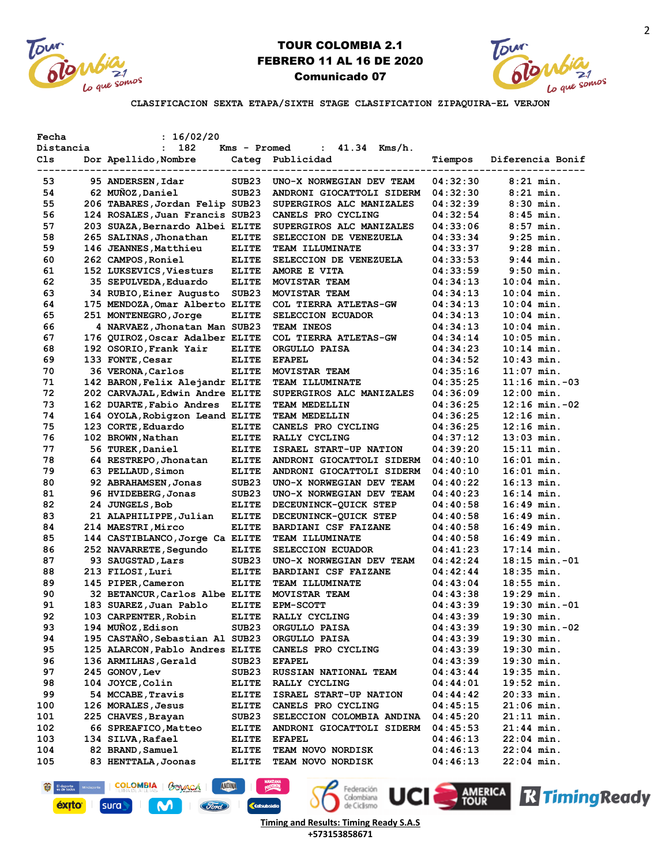



**CLASIFICACION SEXTA ETAPA/SIXTH STAGE CLASIFICATION ZIPAQUIRA-EL VERJON**

| Fecha                    | : 16/02/20                                  |                   |                                |          |                    |
|--------------------------|---------------------------------------------|-------------------|--------------------------------|----------|--------------------|
| Distancia                | 182<br>$\mathbf{L}$                         | Kms - Promed      | $41.34$ Kms/h.<br>$\mathbf{L}$ |          |                    |
| Cls<br>----------------- | Dor Apellido, Nombre<br>------------------- |                   | Categ Publicidad               | Tiempos  | Diferencia Bonif   |
| 53                       | 95 ANDERSEN, Idar                           | SUB <sub>23</sub> | UNO-X NORWEGIAN DEV TEAM       | 04:32:30 | $8:21$ min.        |
| 54                       | 62 MUÑOZ, Daniel                            | SUB23             | ANDRONI GIOCATTOLI SIDERM      | 04:32:30 | $8:21$ min.        |
| 55                       | 206 TABARES, Jordan Felip SUB23             |                   | SUPERGIROS ALC MANIZALES       | 04:32:39 | $8:30$ min.        |
| 56                       | 124 ROSALES, Juan Francis SUB23             |                   | CANELS PRO CYCLING             | 04:32:54 | $8:45$ min.        |
| 57                       | 203 SUAZA, Bernardo Albei ELITE             |                   | SUPERGIROS ALC MANIZALES       | 04:33:06 | $8:57$ min.        |
| 58                       | 265 SALINAS, Jhonathan                      | <b>ELITE</b>      | SELECCION DE VENEZUELA         | 04:33:34 | $9:25$ min.        |
| 59                       | 146 JEANNES, Matthieu                       | <b>ELITE</b>      | <b>TEAM ILLUMINATE</b>         | 04:33:37 | $9:28$ min.        |
| 60                       | 262 CAMPOS, Roniel                          | <b>ELITE</b>      | SELECCION DE VENEZUELA         | 04:33:53 | $9:44$ min.        |
| 61                       | 152 LUKSEVICS, Viesturs                     | <b>ELITE</b>      | AMORE E VITA                   | 04:33:59 | $9:50$ min.        |
| 62                       | 35 SEPULVEDA, Eduardo                       | <b>ELITE</b>      | MOVISTAR TEAM                  | 04:34:13 | $10:04$ min.       |
| 63                       | 34 RUBIO, Einer Augusto                     | SUB <sub>23</sub> | MOVISTAR TEAM                  | 04:34:13 | $10:04$ min.       |
| 64                       | 175 MENDOZA, Omar Alberto ELITE             |                   | COL TIERRA ATLETAS-GW          | 04:34:13 | $10:04$ min.       |
| 65                       | 251 MONTENEGRO, Jorge                       | <b>ELITE</b>      | SELECCION ECUADOR              | 04:34:13 | $10:04$ min.       |
| 66                       | 4 NARVAEZ, Jhonatan Man SUB23               |                   | TEAM INEOS                     | 04:34:13 | $10:04$ min.       |
| 67                       | 176 QUIROZ, Oscar Adalber ELITE             |                   | COL TIERRA ATLETAS-GW          | 04:34:14 | $10:05$ min.       |
| 68                       | 192 OSORIO, Frank Yair                      | <b>ELITE</b>      | ORGULLO PAISA                  | 04:34:23 | $10:14$ min.       |
| 69                       | 133 FONTE, Cesar                            | <b>ELITE</b>      | <b>EFAPEL</b>                  | 04:34:52 | $10:43$ min.       |
| 70                       | 36 VERONA, Carlos                           | <b>ELITE</b>      | <b>MOVISTAR TEAM</b>           | 04:35:16 | $11:07$ min.       |
| 71                       | 142 BARON, Felix Alejandr ELITE             |                   | TEAM ILLUMINATE                | 04:35:25 | $11:16$ min. $-03$ |
| 72                       | 202 CARVAJAL, Edwin Andre ELITE             |                   | SUPERGIROS ALC MANIZALES       | 04:36:09 | $12:00$ min.       |
| 73                       | 162 DUARTE, Fabio Andres                    | <b>ELITE</b>      | <b>TEAM MEDELLIN</b>           | 04:36:25 | $12:16$ min. $-02$ |
| 74                       | 164 OYOLA, Robigzon Leand ELITE             |                   | <b>TEAM MEDELLIN</b>           | 04:36:25 | $12:16$ min.       |
| 75                       | 123 CORTE, Eduardo                          | <b>ELITE</b>      | CANELS PRO CYCLING             | 04:36:25 | $12:16$ min.       |
| 76                       | 102 BROWN, Nathan                           | <b>ELITE</b>      | RALLY CYCLING                  | 04:37:12 | $13:03$ min.       |
| 77                       | 56 TUREK, Daniel                            | <b>ELITE</b>      | ISRAEL START-UP NATION         | 04:39:20 | 15:11 min.         |
| 78                       | 64 RESTREPO, Jhonatan                       | <b>ELITE</b>      | ANDRONI GIOCATTOLI SIDERM      | 04:40:10 | 16:01 min.         |
| 79                       | 63 PELLAUD, Simon                           | <b>ELITE</b>      | ANDRONI GIOCATTOLI SIDERM      | 04:40:10 | $16:01$ min.       |
| 80                       | 92 ABRAHAMSEN, Jonas                        | SUB <sub>23</sub> | UNO-X NORWEGIAN DEV TEAM       | 04:40:22 | $16:13$ min.       |
| 81                       | 96 HVIDEBERG, Jonas                         | SUB <sub>23</sub> | UNO-X NORWEGIAN DEV TEAM       | 04:40:23 | $16:14$ min.       |
| 82                       | 24 JUNGELS, Bob                             | <b>ELITE</b>      | DECEUNINCK-QUICK STEP          | 04:40:58 | 16:49 min.         |
| 83                       | 21 ALAPHILIPPE, Julian                      | <b>ELITE</b>      | DECEUNINCK-QUICK STEP          | 04:40:58 | 16:49 min.         |
| 84                       | 214 MAESTRI, Mirco                          | <b>ELITE</b>      | <b>BARDIANI CSF FAIZANE</b>    | 04:40:58 | 16:49 min.         |
| 85                       | 144 CASTIBLANCO, Jorge Ca ELITE             |                   | <b>TEAM ILLUMINATE</b>         | 04:40:58 | 16:49 min.         |
| 86                       | 252 NAVARRETE, Segundo                      | <b>ELITE</b>      | SELECCION ECUADOR              | 04:41:23 | $17:14$ min.       |
| 87                       | 93 SAUGSTAD, Lars                           | SUB <sub>23</sub> | UNO-X NORWEGIAN DEV TEAM       | 04:42:24 | $18:15$ min. $-01$ |
| 88                       | 213 FILOSI, Luri                            | <b>ELITE</b>      | BARDIANI CSF FAIZANE           | 04:42:44 | $18:35$ min.       |
| 89                       | 145 PIPER, Cameron                          | <b>ELITE</b>      | <b>TEAM ILLUMINATE</b>         | 04:43:04 | $18:55$ min.       |
| 90                       | 32 BETANCUR, Carlos Albe ELITE              |                   | MOVISTAR TEAM                  | 04:43:38 | $19:29$ min.       |
| 91                       | 183 SUAREZ, Juan Pablo                      | <b>ELITE</b>      | <b>EPM-SCOTT</b>               | 04:43:39 | $19:30$ min. $-01$ |
| 92                       | 103 CARPENTER, Robin                        | <b>ELITE</b>      | RALLY CYCLING                  | 04:43:39 | $19:30$ min.       |
| 93                       | 194 MUÑOZ, Edison                           | SUB23             | ORGULLO PAISA                  | 04:43:39 | $19:30$ min. $-02$ |
| 94                       | 195 CASTAÑO, Sebastian Al SUB23             |                   | ORGULLO PAISA                  | 04:43:39 | $19:30$ min.       |
| 95                       | 125 ALARCON, Pablo Andres ELITE             |                   | CANELS PRO CYCLING             | 04:43:39 | $19:30$ min.       |
| 96                       | 136 ARMILHAS, Gerald                        | SUB23             | <b>EFAPEL</b>                  | 04:43:39 | $19:30$ min.       |
| 97                       | 245 GONOV, Lev                              | SUB <sub>23</sub> | RUSSIAN NATIONAL TEAM          | 04:43:44 | 19:35 min.         |
| 98                       | 104 JOYCE, Colin                            | <b>ELITE</b>      | RALLY CYCLING                  | 04:44:01 | $19:52$ min.       |
| 99                       | 54 MCCABE, Travis                           | <b>ELITE</b>      | ISRAEL START-UP NATION         | 04:44:42 | $20:33$ min.       |
| 100                      | 126 MORALES, Jesus                          | <b>ELITE</b>      | CANELS PRO CYCLING             | 04:45:15 | 21:06 min.         |
| 101                      | 225 CHAVES, Brayan                          | SUB <sub>23</sub> | SELECCION COLOMBIA ANDINA      | 04:45:20 | $21:11$ min.       |
| 102                      | 66 SPREAFICO, Matteo                        | <b>ELITE</b>      | ANDRONI GIOCATTOLI SIDERM      | 04:45:53 | 21:44 min.         |
| 103                      | 134 SILVA, Rafael                           | <b>ELITE</b>      | <b>EFAPEL</b>                  | 04:46:13 | $22:04$ min.       |
| 104                      | 82 BRAND, Samuel                            | <b>ELITE</b>      | <b>TEAM NOVO NORDISK</b>       | 04:46:13 | 22:04 min.         |
| 105                      | 83 HENTTALA, Joonas                         | <b>ELITE</b>      | TEAM NOVO NORDISK              | 04:46:13 | 22:04 min.         |



M

El deporte Mini

**éxito** 

sura



**ANDINA** 



Federación UCI AMERICA R Timing Ready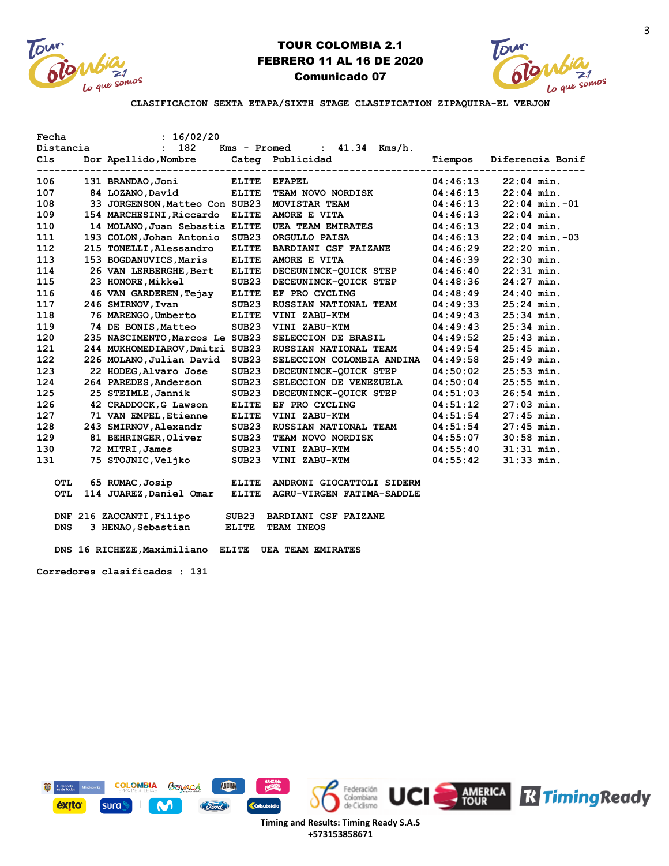



3

**CLASIFICACION SEXTA ETAPA/SIXTH STAGE CLASIFICATION ZIPAQUIRA-EL VERJON**

| Fecha      | : 16/02/20                                          |                   |                               |          |                                                   |
|------------|-----------------------------------------------------|-------------------|-------------------------------|----------|---------------------------------------------------|
| Distancia  | : 182                                               |                   | $Kms - Promed : 41.34 Kms/h.$ |          |                                                   |
| C1s        | Dor Apellido, Nombre Categ Publicidad               |                   |                               | Tiempos  | Diferencia Bonif<br>----------------------------- |
| 106        | 131 BRANDAO, Joni                                   | <b>ELITE</b>      | <b>EFAPEL</b>                 | 04:46:13 | $22:04$ min.                                      |
| 107        | 84 LOZANO, David                                    | <b>ELITE</b>      | <b>TEAM NOVO NORDISK</b>      | 04:46:13 | $22:04$ min.                                      |
| 108        | 33 JORGENSON, Matteo Con SUB23                      |                   | MOVISTAR TEAM                 | 04:46:13 | $22:04$ min. $-01$                                |
| 109        | 154 MARCHESINI, Riccardo                            | <b>ELITE</b>      | AMORE E VITA                  | 04:46:13 | $22:04$ min.                                      |
| 110        | 14 MOLANO, Juan Sebastia ELITE                      |                   | <b>UEA TEAM EMIRATES</b>      | 04:46:13 | $22:04$ min.                                      |
| 111        | 193 COLON, Johan Antonio                            | SUB23             | ORGULLO PAISA                 | 04:46:13 | $22:04$ min. $-03$                                |
| 112        | 215 TONELLI, Alessandro                             | <b>ELITE</b>      | <b>BARDIANI CSF FAIZANE</b>   | 04:46:29 | $22:20$ min.                                      |
| 113        | 153 BOGDANUVICS, Maris                              | <b>ELITE</b>      | AMORE E VITA                  | 04:46:39 | $22:30$ min.                                      |
| 114        | 26 VAN LERBERGHE, Bert                              | <b>ELITE</b>      | DECEUNINCK-QUICK STEP         | 04:46:40 | $22:31$ min.                                      |
| 115        | 23 HONORE, Mikkel                                   | SUB23             | DECEUNINCK-OUICK STEP         | 04:48:36 | $24:27$ min.                                      |
| 116        | 46 VAN GARDEREN, Tejay ELITE                        |                   | EF PRO CYCLING                | 04:48:49 | $24:40$ min.                                      |
| 117        | 246 SMIRNOV, Ivan                                   | SUB23             | RUSSIAN NATIONAL TEAM         | 04:49:33 | $25:24$ min.                                      |
| 118        | 76 MARENGO, Umberto                                 | <b>ELITE</b>      | VINI ZABU-KTM                 | 04:49:43 | $25:34$ min.                                      |
| 119        | 74 DE BONIS, Matteo                                 | SUB23             | VINI ZABU-KTM                 | 04:49:43 | $25:34$ min.                                      |
| 120        | 235 NASCIMENTO, Marcos Le SUB23                     |                   | SELECCION DE BRASIL           | 04:49:52 | $25:43$ min.                                      |
| 121        | 244 MUKHOMEDIAROV, Dmitri SUB23                     |                   | RUSSIAN NATIONAL TEAM         | 04:49:54 | $25:45$ min.                                      |
| 122        | 226 MOLANO, Julian David                            | SUB <sub>23</sub> | SELECCION COLOMBIA ANDINA     | 04:49:58 | $25:49$ min.                                      |
| 123        | 22 HODEG, Alvaro Jose                               | SUB <sub>23</sub> | DECEUNINCK-OUICK STEP         | 04:50:02 | $25:53$ min.                                      |
| 124        | 264 PAREDES, Anderson                               | SUB <sub>23</sub> | SELECCION DE VENEZUELA        | 04:50:04 | $25:55$ min.                                      |
| 125        | 25 STEIMLE, Jannik                                  | SUB <sub>23</sub> | DECEUNINCK-QUICK STEP         | 04:51:03 | $26:54$ min.                                      |
| 126        | 42 CRADDOCK, G Lawson                               | <b>ELITE</b>      | EF PRO CYCLING                | 04:51:12 | $27:03$ min.                                      |
| 127        | 71 VAN EMPEL, Etienne                               | <b>ELITE</b>      | VINI ZABU-KTM                 | 04:51:54 | $27:45$ min.                                      |
| 128        | 243 SMIRNOV, Alexandr                               | SUB23             | <b>RUSSIAN NATIONAL TEAM</b>  | 04:51:54 | $27:45$ min.                                      |
| 129        | 81 BEHRINGER, Oliver                                | SUB23             | TEAM NOVO NORDISK             | 04:55:07 | $30:58$ min.                                      |
| 130        | 72 MITRI, James                                     | SUB23             | VINI ZABU-KTM                 | 04:55:40 | $31:31$ min.                                      |
| 131        | 75 STOJNIC,Veljko                                   | SUB23             | VINI ZABU-KTM                 | 04:55:42 | $31:33$ min.                                      |
| <b>OTL</b> | 65 RUMAC, Josip                                     | <b>ELITE</b>      | ANDRONI GIOCATTOLI SIDERM     |          |                                                   |
| <b>OTL</b> | 114 JUAREZ, Daniel Omar                             | <b>ELITE</b>      | AGRU-VIRGEN FATIMA-SADDLE     |          |                                                   |
|            | DNF 216 ZACCANTI, Filipo                            | SUB <sub>23</sub> | BARDIANI CSF FAIZANE          |          |                                                   |
| <b>DNS</b> | 3 HENAO, Sebastian                                  | <b>ELITE</b>      | TEAM INEOS                    |          |                                                   |
|            | DNS 16 RICHEZE, Maximiliano ELITE UEA TEAM EMIRATES |                   |                               |          |                                                   |
|            | Corredores clasificados : 131                       |                   |                               |          |                                                   |

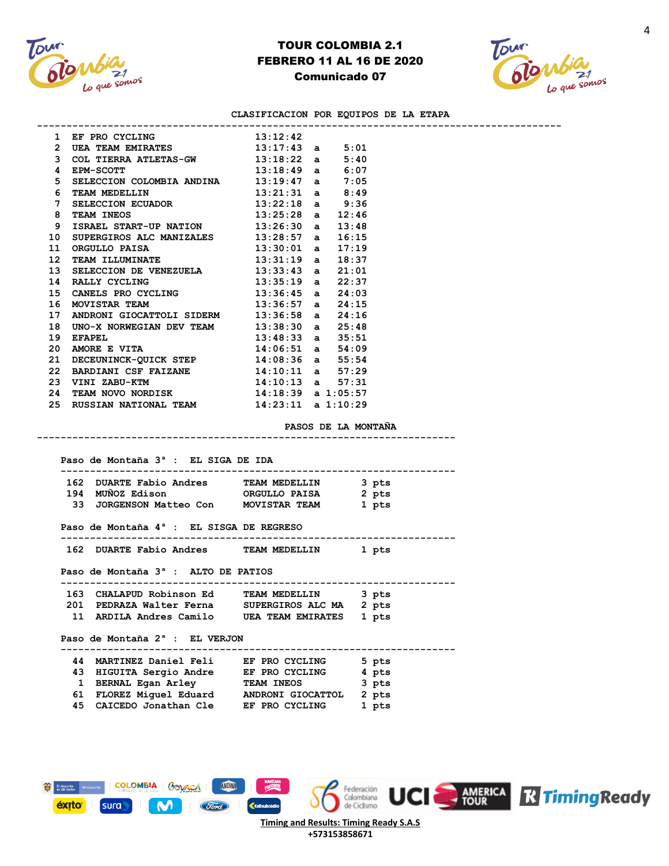



#### **CLASIFICACION POR EQUIPOS DE LA ETAPA**

**-----------------------------------------------------------------------------------------**

| 1               | EF PRO CYCLING                     | 13:12:42                         |              |                       |
|-----------------|------------------------------------|----------------------------------|--------------|-----------------------|
| $\overline{2}$  | UEA TEAM EMIRATES                  | 13:17:43                         |              | 5:01<br>$\mathbf{a}$  |
| 3               | COL TIERRA ATLETAS-GW              | 13:18:22                         | $\mathbf{a}$ | 5:40                  |
| 4               | <b>EPM-SCOTT</b>                   | 13:18:49                         |              | 6:07<br>$\mathbf{a}$  |
| 5               | SELECCION COLOMBIA ANDINA 13:19:47 |                                  | a            | 7:05                  |
| 6               | TEAM MEDELLIN                      | 13:21:31                         |              | 8:49<br>$\mathbf{a}$  |
| 7               | <b>SELECCION ECUADOR</b>           | 13:22:18                         |              | 9:36<br>$\mathbf{a}$  |
| 8               | TEAM INEOS                         | 13:25:28                         |              | 12:46<br>$\mathbf{a}$ |
| 9               | ISRAEL START-UP NATION             | 13:26:30                         |              | 13:48<br>$\mathbf{a}$ |
| 10              | SUPERGIROS ALC MANIZALES           | 13:28:57                         |              | 16:15<br>$\mathbf{a}$ |
| 11              | ORGULLO PAISA                      | 13:30:01                         |              | 17:19<br>$\mathbf{a}$ |
| 12 <sup>2</sup> | TEAM ILLUMINATE                    | 13:31:19                         | a            | 18:37                 |
| 13              | SELECCION DE VENEZUELA             | 13:33:43                         |              | 21:01<br>$\mathbf{a}$ |
| 14              | RALLY CYCLING                      | 13:35:19                         |              | 22:37<br>$\mathbf{a}$ |
| 15              | CANELS PRO CYCLING                 | 13:36:45                         |              | 24:03<br>$\mathbf{a}$ |
| 16              | MOVISTAR TEAM                      | 13:36:57                         |              | 24:15<br>$\mathbf{a}$ |
| 17              | ANDRONI GIOCATTOLI SIDERM 13:36:58 |                                  |              | 24:16<br>$\mathbf{a}$ |
| 18              | UNO-X NORWEGIAN DEV TEAM           | 13:38:30                         |              | 25:48<br>$\mathbf{a}$ |
| 19              | <b>EFAPEL</b>                      | 13:48:33                         |              | 35:51<br>$\mathbf{a}$ |
| 20              | AMORE E VITA                       | 14:06:51                         |              | 54:09<br>$\mathbf{a}$ |
| 21              | DECEUNINCK-QUICK STEP              | 14:08:36                         |              | 55:54<br>$\mathbf{a}$ |
| 22              | BARDIANI CSF FAIZANE               | 14:10:11                         |              | 57:29<br>a i          |
| 23              | VINI ZABU-KTM                      | 14:10:13                         |              | 57:31<br>$\mathbf{a}$ |
| 24              | TEAM NOVO NORDISK                  | $14:18:39$ a $1:05:57$           |              |                       |
| 25              | RUSSIAN NATIONAL TEAM              | $14:23:11 \quad a \quad 1:10:29$ |              |                       |
|                 |                                    |                                  |              |                       |

**PASOS DE LA MONTAÑA**

**-----------------------------------------------------------------------**

 **Paso de Montaña 3ª : EL SIGA DE IDA ------------------------------------------------------------------- 162 DUARTE Fabio Andres TEAM MEDELLIN 3 pts 194 MUÑOZ Edison ORGULLO PAISA 2 pts 33 JORGENSON Matteo Con MOVISTAR TEAM 1 pts Paso de Montaña 4ª : EL SISGA DE REGRESO ------------------------------------------------------------------- 162 DUARTE Fabio Andres TEAM MEDELLIN 1 pts Paso de Montaña 3ª : ALTO DE PATIOS -------------------------------------------------------------------**

 **163 CHALAPUD Robinson Ed TEAM MEDELLIN 3 pts 201 PEDRAZA Walter Ferna SUPERGIROS ALC MA 2 pts 11 ARDILA Andres Camilo UEA TEAM EMIRATES 1 pts** 

 **Paso de Montaña 2ª : EL VERJON**

#### **------------------------------------------------------------------- 44 MARTINEZ Daniel Feli EF PRO CYCLING 5 pts 43 HIGUITA Sergio Andre EF PRO CYCLING 4 pts 1 BERNAL Egan Arley TEAM INEOS 3 pts 61 FLOREZ Miguel Eduard ANDRONI GIOCATTOL 2 pts 45 CAICEDO Jonathan Cle EF PRO CYCLING 1 pts**

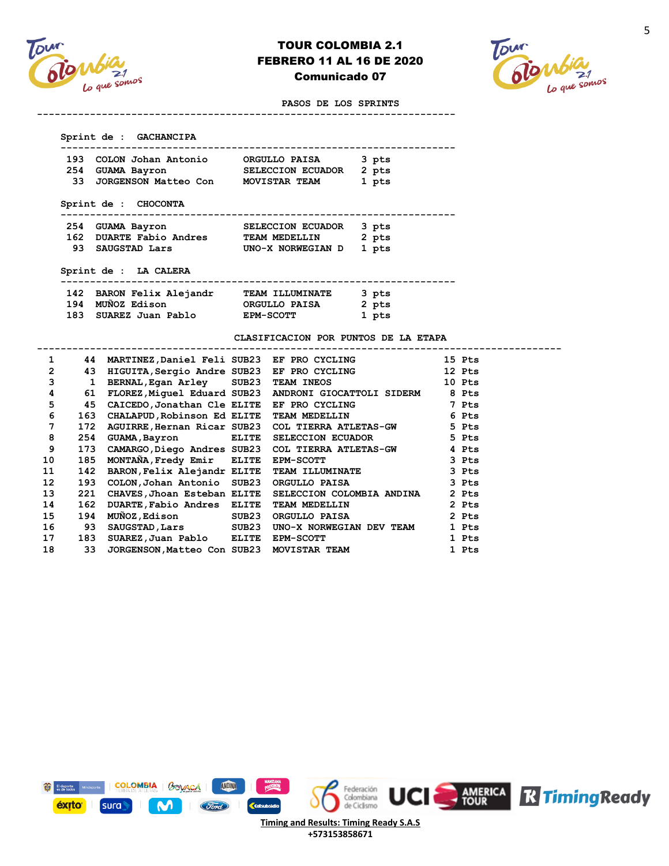



#### **PASOS DE LOS SPRINTS**

| 193 | COLON Johan Antonio     | ORGULLO PAISA     | 3 pts |
|-----|-------------------------|-------------------|-------|
|     | 254 GUAMA Bayron        | SELECCION ECUADOR | 2 pts |
|     | 33 JORGENSON Matteo Con | MOVISTAR TEAM     | 1 pts |

**-----------------------------------------------------------------------**

#### **-------------------------------------------------------------------**

| 254 GUAMA Bayron        | SELECCION ECUADOR 3 pts |       |
|-------------------------|-------------------------|-------|
| 162 DUARTE Fabio Andres | <b>TEAM MEDELLIN</b>    | 2 pts |
| 93 SAUGSTAD Lars        | UNO-X NORWEGIAN D 1 pts |       |
|                         |                         |       |

#### **Sprint de : LA CALERA**

| 142 BARON Felix Alejandr | <b>TEAM ILLUMINATE</b> | 3 pts |
|--------------------------|------------------------|-------|
| 194 MUÑOZ Edison         | ORGULLO PAISA          | 2 pts |
| 183 SUAREZ Juan Pablo    | <b>EPM-SCOTT</b>       | 1 pts |

#### **CLASIFICACION POR PUNTOS DE LA ETAPA**

|                 | 44  |                             | MARTINEZ, Daniel Feli SUB23 EF PRO CYCLING                  | 15 Pts |
|-----------------|-----|-----------------------------|-------------------------------------------------------------|--------|
| 2               | 43  |                             | HIGUITA, Sergio Andre SUB23 EF PRO CYCLING                  | 12 Pts |
| 3               | 1   |                             | BERNAL, Egan Arley SUB23 TEAM INEOS                         | 10 Pts |
| 4               | 61  |                             | FLOREZ, Miquel Eduard SUB23 ANDRONI GIOCATTOLI SIDERM 8 Pts |        |
| 5               | 45  |                             | CAICEDO, Jonathan Cle ELITE EF PRO CYCLING 7 Pts            |        |
| 6               | 163 | CHALAPUD, Robinson Ed ELITE | TEAM MEDELLIN 6 Pts                                         |        |
| 7               | 172 |                             | AGUIRRE, Hernan Ricar SUB23 COL TIERRA ATLETAS-GW 5 Pts     |        |
| 8               | 254 | GUAMA, Bayron ELITE         | SELECCION ECUADOR 5 Pts                                     |        |
| 9               | 173 |                             | CAMARGO, Diego Andres SUB23 COL TIERRA ATLETAS-GW 4 Pts     |        |
| 10              | 185 | MONTAÑA, Fredy Emir ELITE   | EPM-SCOTT 3 Pts                                             |        |
| 11              | 142 |                             | BARON, Felix Alejandr ELITE TEAM ILLUMINATE 3 Pts           |        |
| 12 <sup>2</sup> | 193 | COLON, Johan Antonio SUB23  | ORGULLO PAISA 3 Pts                                         |        |
| 13 <sup>1</sup> | 221 |                             | CHAVES, Jhoan Esteban ELITE SELECCION COLOMBIA ANDINA       | 2 Pts  |
| 14              | 162 | DUARTE, Fabio Andres ELITE  | TEAM MEDELLIN                                               | 2 Pts  |
| 15              | 194 |                             | MUNOZ, Edison SUB23 ORGULLO PAISA                           | 2 Pts  |
| 16              | 93  |                             | SAUGSTAD, Lars SUB23 UNO-X NORWEGIAN DEV TEAM               | 1 Pts  |
| 17              | 183 |                             | SUAREZ,Juan Pablo & ELITE EPM-SCOTT                         | 1 Pts  |
| 18              | 33  |                             | JORGENSON, Matteo Con SUB23 MOVISTAR TEAM                   | 1 Pts  |
|                 |     |                             |                                                             |        |



**+573153858671**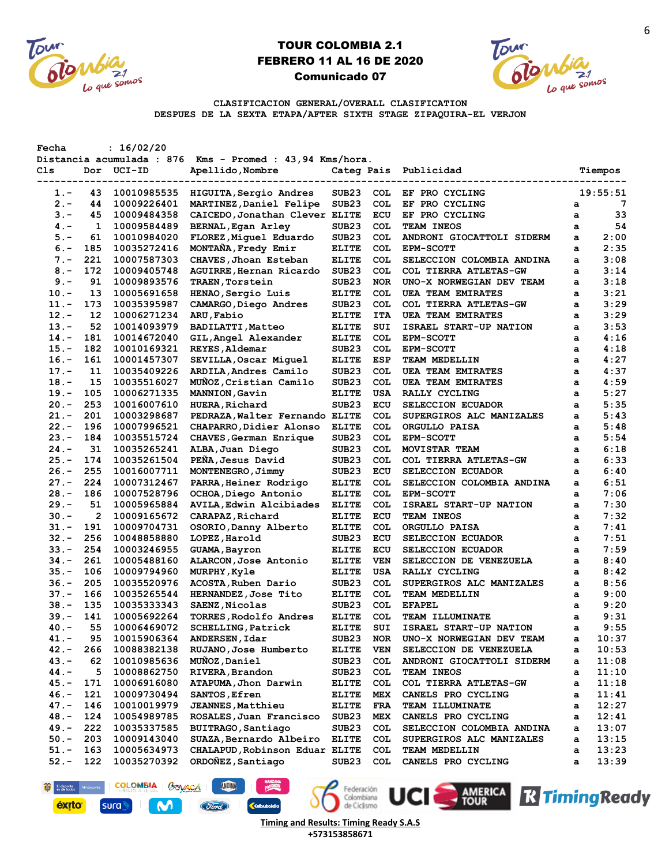



**UCI** AMERICA **R Timing Ready** 

**CLASIFICACION GENERAL/OVERALL CLASIFICATION DESPUES DE LA SEXTA ETAPA/AFTER SIXTH STAGE ZIPAQUIRA-EL VERJON**

| Fecha   |     | : 16/02/20  |                                                          |                   |            |                           |   |          |
|---------|-----|-------------|----------------------------------------------------------|-------------------|------------|---------------------------|---|----------|
|         |     |             | Distancia acumulada : 876 Kms - Promed : 43,94 Kms/hora. |                   |            |                           |   |          |
| Cls     |     | Dor UCI-ID  | Apellido, Nombre                                         | Categ Pais        |            | Publicidad                |   | Tiempos  |
|         |     |             |                                                          |                   |            |                           |   |          |
| 1.-     | 43  | 10010985535 | HIGUITA, Sergio Andres                                   | SUB23             | COL.       | EF PRO CYCLING            |   | 19:55:51 |
| $2 -$   | 44  | 10009226401 | MARTINEZ, Daniel Felipe                                  | SUB <sub>23</sub> | <b>COL</b> | EF PRO CYCLING            | a | 7        |
| $3 -$   | 45  | 10009484358 | CAICEDO, Jonathan Clever ELITE                           |                   | ECU        | EF PRO CYCLING            | a | 33       |
| $4. -$  | 1   | 10009584489 | <b>BERNAL, Egan Arley</b>                                | SUB <sub>23</sub> | <b>COL</b> | TEAM INEOS                | a | 54       |
| $5. -$  | 61  | 10010984020 | FLOREZ, Miguel Eduardo                                   | SUB <sub>23</sub> | <b>COL</b> | ANDRONI GIOCATTOLI SIDERM | a | 2:00     |
| $6. -$  | 185 | 10035272416 | MONTANA, Fredy Emir                                      | <b>ELITE</b>      | <b>COL</b> | <b>EPM-SCOTT</b>          | a | 2:35     |
| $7 -$   | 221 | 10007587303 | CHAVES, Jhoan Esteban                                    | <b>ELITE</b>      | <b>COL</b> | SELECCION COLOMBIA ANDINA | а | 3:08     |
| $8 -$   | 172 | 10009405748 | AGUIRRE, Hernan Ricardo                                  | SUB <sub>23</sub> | <b>COL</b> | COL TIERRA ATLETAS-GW     | a | 3:14     |
| $9 -$   | 91  | 10009893576 | TRAEN, Torstein                                          | SUB <sub>23</sub> | <b>NOR</b> | UNO-X NORWEGIAN DEV TEAM  | a | 3:18     |
| $10.-$  | 13  | 10005691658 | HENAO, Sergio Luis                                       | <b>ELITE</b>      | <b>COL</b> | <b>UEA TEAM EMIRATES</b>  | a | 3:21     |
| $11. -$ | 173 | 10035395987 | CAMARGO, Diego Andres                                    | SUB <sub>23</sub> | <b>COL</b> | COL TIERRA ATLETAS-GW     | a | 3:29     |
| $12 -$  | 12  | 10006271234 | ARU, Fabio                                               | <b>ELITE</b>      | <b>ITA</b> | <b>UEA TEAM EMIRATES</b>  | а | 3:29     |
| $13. -$ | 52  | 10014093979 | <b>BADILATTI, Matteo</b>                                 | <b>ELITE</b>      | SUI        | ISRAEL START-UP NATION    | a | 3:53     |
| $14. -$ | 181 | 10014672040 | GIL, Angel Alexander                                     | <b>ELITE</b>      | <b>COL</b> | <b>EPM-SCOTT</b>          | a | 4:16     |
| $15.-$  | 182 | 10010169321 | REYES, Aldemar                                           | SUB <sub>23</sub> | <b>COL</b> | <b>EPM-SCOTT</b>          | a | 4:18     |
| $16. -$ | 161 | 10001457307 | SEVILLA, Oscar Miquel                                    | <b>ELITE</b>      | <b>ESP</b> | <b>TEAM MEDELLIN</b>      | a | 4:27     |
| $17. -$ | 11  | 10035409226 | ARDILA, Andres Camilo                                    | SUB <sub>23</sub> | <b>COL</b> | <b>UEA TEAM EMIRATES</b>  | a | 4:37     |
| $18. -$ | 15  | 10035516027 | MUÑOZ, Cristian Camilo                                   | SUB <sub>23</sub> | COL        | <b>UEA TEAM EMIRATES</b>  | a | 4:59     |
| $19. -$ | 105 | 10006271335 | MANNION, Gavin                                           | <b>ELITE</b>      | USA        | RALLY CYCLING             | a | 5:27     |
| $20 -$  | 253 | 10016007610 | HUERA, Richard                                           | SUB <sub>23</sub> | ECU        | SELECCION ECUADOR         | a | 5:35     |
| $21 -$  | 201 | 10003298687 | PEDRAZA, Walter Fernando ELITE                           |                   | <b>COL</b> | SUPERGIROS ALC MANIZALES  | a | 5:43     |
| 22.-    | 196 | 10007996521 | CHAPARRO, Didier Alonso                                  | <b>ELITE</b>      | <b>COL</b> | ORGULLO PAISA             | a | 5:48     |
| $23 -$  | 184 | 10035515724 | CHAVES, German Enrique                                   | SUB <sub>23</sub> | COL        | <b>EPM-SCOTT</b>          | a | 5:54     |
| $24. -$ | 31  | 10035265241 | ALBA, Juan Diego                                         | SUB <sub>23</sub> | <b>COL</b> | MOVISTAR TEAM             | a | 6:18     |
| $25. -$ | 174 | 10035261504 | PEÑA, Jesus David                                        | SUB <sub>23</sub> | <b>COL</b> | COL TIERRA ATLETAS-GW     | a | 6:33     |
| $26. -$ | 255 | 10016007711 | MONTENEGRO, Jimmy                                        | SUB <sub>23</sub> | ECU        | SELECCION ECUADOR         |   | 6:40     |
| $27. -$ | 224 |             |                                                          |                   | <b>COL</b> |                           | a |          |
| $28. -$ |     | 10007312467 | PARRA, Heiner Rodrigo                                    | <b>ELITE</b>      |            | SELECCION COLOMBIA ANDINA | a | 6:51     |
|         | 186 | 10007528796 | OCHOA, Diego Antonio                                     | <b>ELITE</b>      | <b>COL</b> | <b>EPM-SCOTT</b>          | a | 7:06     |
| 29. –   | 51  | 10005965884 | AVILA, Edwin Alcibiades                                  | <b>ELITE</b>      | <b>COL</b> | ISRAEL START-UP NATION    | a | 7:30     |
| 30.-    | 2   | 10009165672 | CARAPAZ, Richard                                         | <b>ELITE</b>      | ECU        | <b>TEAM INEOS</b>         | a | 7:32     |
| $31 -$  | 191 | 10009704731 | OSORIO, Danny Alberto                                    | <b>ELITE</b>      | <b>COL</b> | ORGULLO PAISA             | а | 7:41     |
| $32 -$  | 256 | 10048858880 | LOPEZ, Harold                                            | SUB <sub>23</sub> | ECU        | SELECCION ECUADOR         | а | 7:51     |
| $33 -$  | 254 | 10003246955 | GUAMA, Bayron                                            | <b>ELITE</b>      | ECU        | SELECCION ECUADOR         | a | 7:59     |
| $34. -$ | 261 | 10005488160 | ALARCON, Jose Antonio                                    | <b>ELITE</b>      | <b>VEN</b> | SELECCION DE VENEZUELA    | a | 8:40     |
| $35.-$  | 106 | 10009794960 | MURPHY, Kyle                                             | <b>ELITE</b>      | USA        | RALLY CYCLING             | a | 8:42     |
| $36. -$ | 205 | 10035520976 | ACOSTA, Ruben Dario                                      | SUB <sub>23</sub> | COL        | SUPERGIROS ALC MANIZALES  | а | 8:56     |
| $37 -$  | 166 | 10035265544 | HERNANDEZ, Jose Tito                                     | <b>ELITE</b>      | <b>COL</b> | TEAM MEDELLIN             | a | 9:00     |
| $38. -$ | 135 | 10035333343 | SAENZ, Nicolas                                           | SUB <sub>23</sub> | <b>COL</b> | <b>EFAPEL</b>             | a | 9:20     |
| 39.–    | 141 | 10005692264 | TORRES, Rodolfo Andres                                   | <b>ELITE</b>      | <b>COL</b> | TEAM ILLUMINATE           | a | 9:31     |
| 40.-    | 55  | 10006469072 | $\texttt{SCHELING}, \texttt{Patrick}$                    | <b>ELITE</b>      | SUI        | ISRAEL START-UP NATION    | a | 9:55     |
| 41.-    | 95  | 10015906364 | ANDERSEN, Idar                                           | SUB <sub>23</sub> | <b>NOR</b> | UNO-X NORWEGIAN DEV TEAM  | а | 10:37    |
| $42 -$  | 266 | 10088382138 | RUJANO, Jose Humberto                                    | <b>ELITE</b>      | VEN        | SELECCION DE VENEZUELA    | a | 10:53    |
| $43 -$  | 62  | 10010985636 | MUÑOZ, Daniel                                            | SUB <sub>23</sub> | <b>COL</b> | ANDRONI GIOCATTOLI SIDERM | a | 11:08    |
| $44. -$ | 5   | 10008862750 | RIVERA, Brandon                                          | SUB <sub>23</sub> | <b>COL</b> | TEAM INEOS                | а | 11:10    |
| 45.-    | 171 | 10006916080 | ATAPUMA, Jhon Darwin                                     | ELITE             | <b>COL</b> | COL TIERRA ATLETAS-GW     | а | 11:18    |
| $46. -$ | 121 | 10009730494 | SANTOS, Efren                                            | <b>ELITE</b>      | MEX        | CANELS PRO CYCLING        | a | 11:41    |
| $47. -$ | 146 | 10010019979 | <b>JEANNES, Matthieu</b>                                 | <b>ELITE</b>      | FRA        | TEAM ILLUMINATE           | а | 12:27    |
| $48. -$ | 124 | 10054989785 | ROSALES, Juan Francisco                                  | SUB <sub>23</sub> | MEX        | CANELS PRO CYCLING        | а | 12:41    |
| $49. -$ | 222 | 10035337585 | BUITRAGO, Santiago                                       | SUB <sub>23</sub> | COL        | SELECCION COLOMBIA ANDINA | a | 13:07    |
| $50.-$  | 203 | 10009143040 | SUAZA, Bernardo Albeiro                                  | <b>ELITE</b>      | <b>COL</b> | SUPERGIROS ALC MANIZALES  | a | 13:15    |
| $51. -$ | 163 | 10005634973 | CHALAPUD, Robinson Eduar ELITE                           |                   | <b>COL</b> | TEAM MEDELLIN             | а | 13:23    |
| $52 -$  | 122 | 10035270392 | ORDOÑEZ, Santiago                                        | SUB <sub>23</sub> | COL        | CANELS PRO CYCLING        | a | 13:39    |

Federación<br>Colombiana<br>de Ciclismo **K**colsu **Timing and Results: Timing Ready S.A.S +573153858671**

**ANDINA** 

(Ford)

COLOMBIA | BOVAÇÃ |

M

El deporte M

éxito<sup>-</sup>

sura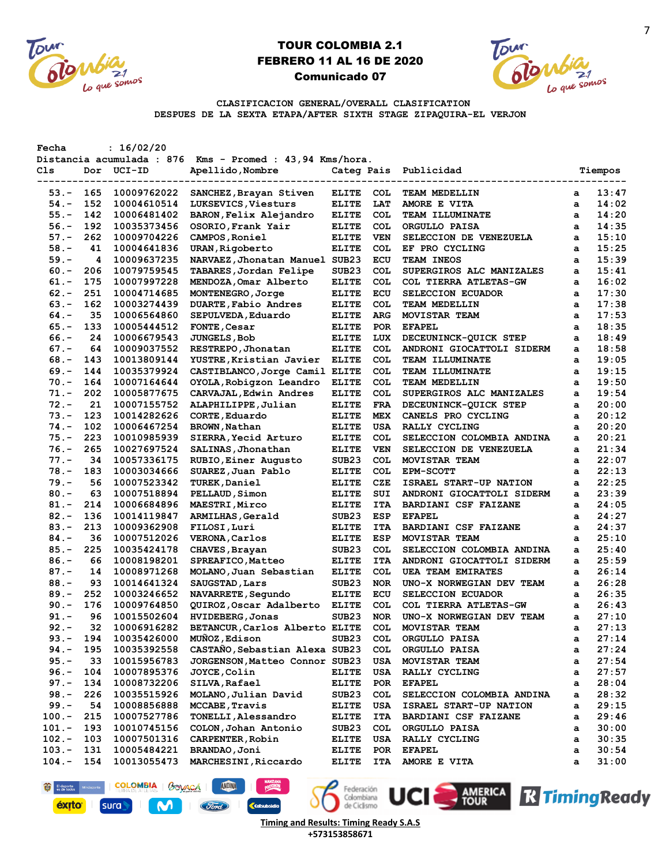



**EN AMERICA RTIMING Ready** 

**CLASIFICACION GENERAL/OVERALL CLASIFICATION DESPUES DE LA SEXTA ETAPA/AFTER SIXTH STAGE ZIPAQUIRA-EL VERJON**

| Fecha    |     | : 16/02/20             | Distancia acumulada : 876 Kms - Promed : 43,94 Kms/hora. |                           |            |                           |   |         |
|----------|-----|------------------------|----------------------------------------------------------|---------------------------|------------|---------------------------|---|---------|
| Cls      |     | Dor UCI-ID             | Apellido, Nombre                                         | Categ Pais<br>$- - - - -$ |            | Publicidad                |   | Tiempos |
| 53.-     | 165 | -------<br>10009762022 | SANCHEZ, Brayan Stiven                                   | <b>ELITE</b>              | <b>COL</b> | TEAM MEDELLIN             | a | 13:47   |
| 54.-     | 152 | 10004610514            | LUKSEVICS, Viesturs                                      | <b>ELITE</b>              | LAT        | AMORE E VITA              | a | 14:02   |
| $55. -$  | 142 | 10006481402            | BARON, Felix Alejandro                                   | <b>ELITE</b>              | <b>COL</b> | TEAM ILLUMINATE           | a | 14:20   |
| $56. -$  | 192 | 10035373456            | OSORIO, Frank Yair                                       | <b>ELITE</b>              | <b>COL</b> | ORGULLO PAISA             | a | 14:35   |
| $57. -$  | 262 | 10009704226            | CAMPOS, Roniel                                           | ELITE                     | <b>VEN</b> | SELECCION DE VENEZUELA    | a | 15:10   |
| $58. -$  | 41  | 10004641836            | URAN, Rigoberto                                          | <b>ELITE</b>              | <b>COL</b> | EF PRO CYCLING            | a | 15:25   |
| $59. -$  | 4   | 10009637235            | NARVAEZ, Jhonatan Manuel SUB23                           |                           | ECU        | TEAM INEOS                | a | 15:39   |
| $60 -$   | 206 | 10079759545            | TABARES, Jordan Felipe                                   | SUB <sub>23</sub>         | <b>COL</b> | SUPERGIROS ALC MANIZALES  | a | 15:41   |
| 61.-     | 175 | 10007997228            | MENDOZA, Omar Alberto                                    | <b>ELITE</b>              | <b>COL</b> | COL TIERRA ATLETAS-GW     | a | 16:02   |
| $62 -$   | 251 | 10004714685            | MONTENEGRO, Jorge                                        | <b>ELITE</b>              | ECU        | SELECCION ECUADOR         | a | 17:30   |
| $63 -$   | 162 | 10003274439            | DUARTE, Fabio Andres                                     | ELITE                     | <b>COL</b> | TEAM MEDELLIN             | a | 17:38   |
| $64. -$  | 35  | 10006564860            | SEPULVEDA, Eduardo                                       | <b>ELITE</b>              | <b>ARG</b> | MOVISTAR TEAM             | a | 17:53   |
| $65. -$  | 133 | 10005444512            | FONTE, Cesar                                             | <b>ELITE</b>              | <b>POR</b> | <b>EFAPEL</b>             | a | 18:35   |
| $66. -$  | 24  | 10006679543            | <b>JUNGELS, Bob</b>                                      | <b>ELITE</b>              | LUX        | DECEUNINCK-QUICK STEP     | a | 18:49   |
| $67. -$  | 64  | 10009037552            | RESTREPO, Jhonatan                                       | <b>ELITE</b>              | <b>COL</b> | ANDRONI GIOCATTOLI SIDERM | a | 18:58   |
| $68 -$   | 143 | 10013809144            | YUSTRE, Kristian Javier                                  | <b>ELITE</b>              | <b>COL</b> | <b>TEAM ILLUMINATE</b>    | a | 19:05   |
| $69. -$  | 144 | 10035379924            | CASTIBLANCO, Jorge Camil ELITE                           |                           | <b>COL</b> | TEAM ILLUMINATE           | a | 19:15   |
| $70. -$  | 164 | 10007164644            | OYOLA, Robigzon Leandro                                  | <b>ELITE</b>              | COL        | TEAM MEDELLIN             | a | 19:50   |
| 71.-     | 202 | 10005877675            | CARVAJAL, Edwin Andres                                   | <b>ELITE</b>              | <b>COL</b> | SUPERGIROS ALC MANIZALES  | a | 19:54   |
| $72. -$  | 21  | 10007155752            | ALAPHILIPPE, Julian                                      | <b>ELITE</b>              | FRA        | DECEUNINCK-QUICK STEP     | a | 20:00   |
| $73. -$  | 123 | 10014282626            | CORTE, Eduardo                                           | <b>ELITE</b>              | <b>MEX</b> | CANELS PRO CYCLING        | a | 20:12   |
| $74. -$  | 102 | 10006467254            | <b>BROWN, Nathan</b>                                     | <b>ELITE</b>              | USA        | RALLY CYCLING             | a | 20:20   |
| $75. -$  | 223 | 10010985939            | SIERRA, Yecid Arturo                                     | <b>ELITE</b>              | <b>COL</b> | SELECCION COLOMBIA ANDINA | a | 20:21   |
| $76. -$  | 265 | 10027697524            | SALINAS, Jhonathan                                       | <b>ELITE</b>              | <b>VEN</b> | SELECCION DE VENEZUELA    | a | 21:34   |
| $77. -$  | 34  | 10057336175            | RUBIO, Einer Augusto                                     | SUB <sub>23</sub>         | <b>COL</b> | MOVISTAR TEAM             | a | 22:07   |
| $78. -$  | 183 | 10003034666            | SUAREZ, Juan Pablo                                       | <b>ELITE</b>              | <b>COL</b> | <b>EPM-SCOTT</b>          | a | 22:13   |
| $79. -$  | 56  | 10007523342            | TUREK, Daniel                                            | <b>ELITE</b>              | CZE        | ISRAEL START-UP NATION    | a | 22:25   |
| $80 -$   | 63  | 10007518894            | PELLAUD, Simon                                           | <b>ELITE</b>              | SUI        | ANDRONI GIOCATTOLI SIDERM | a | 23:39   |
| 81.-     | 214 | 10006684896            | <b>MAESTRI, Mirco</b>                                    | ELITE                     | <b>ITA</b> | BARDIANI CSF FAIZANE      | a | 24:05   |
| $82 -$   | 136 | 10014119847            | ARMILHAS, Gerald                                         | SUB <sub>23</sub>         | ESP        | <b>EFAPEL</b>             | a | 24:27   |
| $83 -$   | 213 | 10009362908            | FILOSI, Luri                                             | ELITE                     | <b>ITA</b> | BARDIANI CSF FAIZANE      | a | 24:37   |
| $84. -$  | 36  | 10007512026            | <b>VERONA, Carlos</b>                                    | <b>ELITE</b>              | ESP        | MOVISTAR TEAM             | a | 25:10   |
| $85. -$  | 225 | 10035424178            | CHAVES, Brayan                                           | SUB <sub>23</sub>         | <b>COL</b> | SELECCION COLOMBIA ANDINA | a | 25:40   |
| 86.-     | 66  | 10008198201            | SPREAFICO, Matteo                                        | <b>ELITE</b>              | <b>ITA</b> | ANDRONI GIOCATTOLI SIDERM | a | 25:59   |
| $87. -$  | 14  | 10008971268            | MOLANO, Juan Sebastian                                   | <b>ELITE</b>              | <b>COL</b> | UEA TEAM EMIRATES         | a | 26:14   |
| $88. -$  | 93  | 10014641324            | SAUGSTAD, Lars                                           | SUB23                     | <b>NOR</b> | UNO-X NORWEGIAN DEV TEAM  | a | 26:28   |
| $89. -$  | 252 | 10003246652            | NAVARRETE, Segundo                                       | <b>ELITE</b>              | ECU        | SELECCION ECUADOR         | a | 26:35   |
| $90 -$   | 176 | 10009764850            | QUIROZ, Oscar Adalberto                                  | <b>ELITE</b>              | COL        | COL TIERRA ATLETAS-GW     | a | 26:43   |
| 91.-     | 96  | 10015502604            | <b>HVIDEBERG, Jonas</b>                                  | SUB <sub>23</sub>         | <b>NOR</b> | UNO-X NORWEGIAN DEV TEAM  | a | 27:10   |
| $92 -$   | 32  | 10006916282            | BETANCUR, Carlos Alberto ELITE                           |                           | <b>COL</b> | MOVISTAR TEAM             |   | 27:13   |
| $93 -$   | 194 | 10035426000            | MUÑOZ, Edison                                            | SUB <sub>23</sub>         | <b>COL</b> | ORGULLO PAISA             | a | 27:14   |
| $94. -$  | 195 | 10035392558            | CASTAÑO, Sebastian Alexa SUB23                           |                           |            |                           | а |         |
| $95. -$  |     |                        |                                                          |                           | <b>COL</b> | ORGULLO PAISA             | a | 27:24   |
| $96. -$  | 33  | 10015956783            | JORGENSON, Matteo Connor SUB23                           |                           | USA        | MOVISTAR TEAM             | а | 27:54   |
| $97. -$  | 104 | 10007895376            | <b>JOYCE,Colin</b><br>SILVA, Rafael                      | <b>ELITE</b>              | USA        | RALLY CYCLING             | a | 27:57   |
|          | 134 | 10008732206            |                                                          | <b>ELITE</b>              | <b>POR</b> | <b>EFAPEL</b>             | a | 28:04   |
| $98. -$  | 226 | 10035515926            | MOLANO, Julian David                                     | SUB <sub>23</sub>         | COL        | SELECCION COLOMBIA ANDINA | a | 28:32   |
| $99. -$  | 54  | 10008856888            | MCCABE, Travis                                           | <b>ELITE</b>              | USA        | ISRAEL START-UP NATION    | a | 29:15   |
| $100.-$  | 215 | 10007527786            | TONELLI, Alessandro                                      | <b>ELITE</b>              | <b>ITA</b> | BARDIANI CSF FAIZANE      | a | 29:46   |
| $101. -$ | 193 | 10010745156            | COLON, Johan Antonio                                     | SUB <sub>23</sub>         | <b>COL</b> | ORGULLO PAISA             | а | 30:00   |
| $102. -$ | 103 | 10007501316            | CARPENTER, Robin                                         | <b>ELITE</b>              | USA        | RALLY CYCLING             | a | 30:35   |
| $103. -$ | 131 | 10005484221            | BRANDAO, Joni                                            | <b>ELITE</b>              | POR        | <b>EFAPEL</b>             | a | 30:54   |
| $104. -$ | 154 | 10013055473            | MARCHESINI, Riccardo                                     | <b>ELITE</b>              | ITA        | AMORE E VITA              | a | 31:00   |

Federación<br>Colombiana<br>de Ciclismo **Timing and Results: Timing Ready S.A.S +573153858671**

**COLOMBIA** | BOVACA

M

El deporte

**éxito** 

sura

ANDINA

**K**cols

(Ford)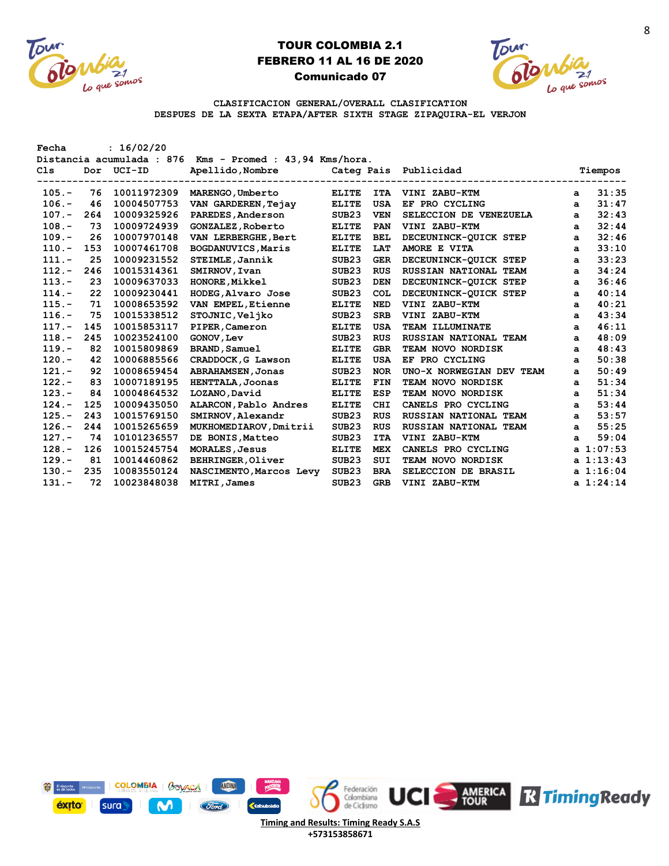



**CLASIFICACION GENERAL/OVERALL CLASIFICATION DESPUES DE LA SEXTA ETAPA/AFTER SIXTH STAGE ZIPAQUIRA-EL VERJON**

| Fecha<br>Cls | Dor | : 16/02/20<br>Distancia acumulada : 876<br>$UCI-ID$ | Kms - Promed : 43,94 Kms/hora.<br>Apellido, Nombre | Categ Pais        |            | Publicidad               |   | Tiempos   |
|--------------|-----|-----------------------------------------------------|----------------------------------------------------|-------------------|------------|--------------------------|---|-----------|
| $105. -$     | 76  | 10011972309                                         | MARENGO, Umberto                                   | <b>ELITE</b>      | <b>ITA</b> | VINI ZABU-KTM            | a | 31:35     |
| $106. -$     | 46  | 10004507753                                         | VAN GARDEREN, Tejay                                | <b>ELITE</b>      | <b>USA</b> | EF PRO CYCLING           | a | 31:47     |
| $107. -$     | 264 | 10009325926                                         | PAREDES, Anderson                                  | SUB <sub>23</sub> | <b>VEN</b> | SELECCION DE VENEZUELA   | a | 32:43     |
| $108. -$     | 73  | 10009724939                                         | <b>GONZALEZ, Roberto</b>                           | <b>ELITE</b>      | PAN        | VINI ZABU-KTM            | a | 32:44     |
| $109. -$     | 26  | 10007970148                                         | VAN LERBERGHE, Bert                                | <b>ELITE</b>      | <b>BEL</b> | DECEUNINCK-QUICK STEP    | a | 32:46     |
| $110. -$     | 153 | 10007461708                                         | BOGDANUVICS, Maris                                 | <b>ELITE</b>      | LAT        | AMORE E VITA             | a | 33:10     |
| $111. -$     | 25  | 10009231552                                         | STEIMLE, Jannik                                    | SUB <sub>23</sub> | <b>GER</b> | DECEUNINCK-OUICK STEP    | a | 33:23     |
| $112. -$     | 246 | 10015314361                                         | SMIRNOV, Ivan                                      | SUB <sub>23</sub> | <b>RUS</b> | RUSSIAN NATIONAL TEAM    | a | 34:24     |
| $113. -$     | 23  | 10009637033                                         | HONORE, Mikkel                                     | SUB <sub>23</sub> | <b>DEN</b> | DECEUNINCK-QUICK STEP    | a | 36:46     |
| $114. -$     | 22  | 10009230441                                         | HODEG, Alvaro Jose                                 | SUB <sub>23</sub> | <b>COL</b> | DECEUNINCK-QUICK STEP    | a | 40:14     |
| $115. -$     | 71  | 10008653592                                         | VAN EMPEL, Etienne                                 | <b>ELITE</b>      | <b>NED</b> | VINI ZABU-KTM            | a | 40:21     |
| $116. -$     | 75  | 10015338512                                         | STOJNIC, Veljko                                    | SUB <sub>23</sub> | <b>SRB</b> | VINI ZABU-KTM            | a | 43:34     |
| $117. -$     | 145 | 10015853117                                         | PIPER, Cameron                                     | <b>ELITE</b>      | <b>USA</b> | TEAM ILLUMINATE          | a | 46:11     |
| $118. -$     | 245 | 10023524100                                         | GONOV, Lev                                         | SUB <sub>23</sub> | <b>RUS</b> | RUSSIAN NATIONAL TEAM    | a | 48:09     |
| $119. -$     | 82  | 10015809869                                         | <b>BRAND, Samuel</b>                               | <b>ELITE</b>      | <b>GBR</b> | TEAM NOVO NORDISK        | a | 48:43     |
| $120. -$     | 42  | 10006885566                                         | CRADDOCK, G Lawson                                 | <b>ELITE</b>      | USA        | EF PRO CYCLING           | a | 50:38     |
| $121. -$     | 92  | 10008659454                                         | <b>ABRAHAMSEN, Jonas</b>                           | SUB <sub>23</sub> | <b>NOR</b> | UNO-X NORWEGIAN DEV TEAM | a | 50:49     |
| $122 -$      | 83  | 10007189195                                         | HENTTALA, Joonas                                   | <b>ELITE</b>      | <b>FIN</b> | <b>TEAM NOVO NORDISK</b> | a | 51:34     |
| $123. -$     | 84  | 10004864532                                         | LOZANO, David                                      | <b>ELITE</b>      | <b>ESP</b> | <b>TEAM NOVO NORDISK</b> | a | 51:34     |
| $124. -$     | 125 | 10009435050                                         | ALARCON, Pablo Andres                              | <b>ELITE</b>      | <b>CHI</b> | CANELS PRO CYCLING       | a | 53:44     |
| $125. -$     | 243 | 10015769150                                         | SMIRNOV, Alexandr                                  | SUB <sub>23</sub> | <b>RUS</b> | RUSSIAN NATIONAL TEAM    | a | 53:57     |
| $126. -$     | 244 | 10015265659                                         | MUKHOMEDIAROV, Dmitrii                             | SUB <sub>23</sub> | <b>RUS</b> | RUSSIAN NATIONAL TEAM    | a | 55:25     |
| $127. -$     | 74  | 10101236557                                         | DE BONIS, Matteo                                   | SUB <sub>23</sub> | <b>ITA</b> | VINI ZABU-KTM            | a | 59:04     |
| $128. -$     | 126 | 10015245754                                         | <b>MORALES, Jesus</b>                              | <b>ELITE</b>      | <b>MEX</b> | CANELS PRO CYCLING       |   | a 1:07:53 |
| $129. -$     | 81  | 10014460862                                         | BEHRINGER, Oliver                                  | SUB <sub>23</sub> | SUI        | <b>TEAM NOVO NORDISK</b> |   | a 1:13:43 |
| $130 -$      | 235 | 10083550124                                         | NASCIMENTO, Marcos Levy                            | SUB <sub>23</sub> | <b>BRA</b> | SELECCION DE BRASIL      |   | a 1:16:04 |
| $131 -$      | 72  | 10023848038                                         | <b>MITRI, James</b>                                | SUB <sub>23</sub> | <b>GRB</b> | VINI ZABU-KTM            |   | a 1:24:14 |



**+573153858671**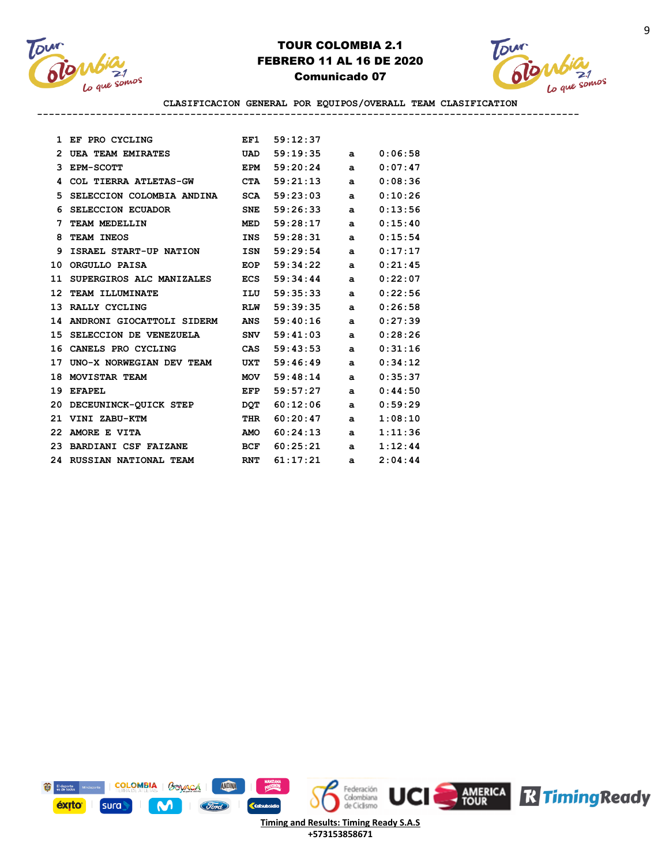



**CLASIFICACION GENERAL POR EQUIPOS/OVERALL TEAM CLASIFICATION --------------------------------------------------------------------------------------------**

| 1  | EF PRO CYCLING              | EF1        | 59:12:37     |              |         |
|----|-----------------------------|------------|--------------|--------------|---------|
| 2  | UEA TEAM EMIRATES           | <b>UAD</b> | 59:19:35     | a            | 0:06:58 |
| 3  | <b>EPM-SCOTT</b>            | <b>EPM</b> | 59:20:24     | a            | 0:07:47 |
| 4  | COL TIERRA ATLETAS-GW       | <b>CTA</b> | 59:21:13     | a            | 0:08:36 |
| 5  | SELECCION COLOMBIA ANDINA   | <b>SCA</b> | 59:23:03     | a            | 0:10:26 |
| 6  | <b>SELECCION ECUADOR</b>    | <b>SNE</b> | 59:26:33     | a            | 0:13:56 |
| 7  | TEAM MEDELLIN               | <b>MED</b> | 59:28:17     | a            | 0:15:40 |
| 8  | TEAM INEOS                  | <b>INS</b> | 59:28:31     | a            | 0:15:54 |
| 9  | ISRAEL START-UP NATION      | <b>ISN</b> | 59:29:54     | $\mathbf{a}$ | 0:17:17 |
| 10 | ORGULLO PAISA               | <b>EOP</b> | 59:34:22     | a            | 0:21:45 |
| 11 | SUPERGIROS ALC MANIZALES    |            | ECS 59:34:44 | a            | 0:22:07 |
| 12 | TEAM ILLUMINATE             | ILU        | 59:35:33     | a            | 0:22:56 |
| 13 | RALLY CYCLING               | <b>RLW</b> | 59:39:35     | a            | 0:26:58 |
| 14 | ANDRONI GIOCATTOLI SIDERM   | <b>ANS</b> | 59:40:16     | a            | 0:27:39 |
| 15 | SELECCION DE VENEZUELA      | SNV        | 59:41:03     | a            | 0:28:26 |
| 16 | CANELS PRO CYCLING          | CAS        | 59:43:53     | a            | 0:31:16 |
| 17 | UNO-X NORWEGIAN DEV TEAM    | <b>UXT</b> | 59:46:49     | $\mathbf{a}$ | 0:34:12 |
| 18 | MOVISTAR TEAM               | <b>MOV</b> | 59:48:14     | a            | 0:35:37 |
| 19 | <b>EFAPEL</b>               | EFP        | 59:57:27     | a            | 0:44:50 |
| 20 | DECEUNINCK-QUICK STEP       | <b>DOT</b> | 60:12:06     | a            | 0:59:29 |
| 21 | VINI ZABU-KTM               | THR        | 60:20:47     | a            | 1:08:10 |
| 22 | AMORE E VITA                | <b>AMO</b> | 60:24:13     | a            | 1:11:36 |
| 23 | <b>BARDIANI CSF FAIZANE</b> | BCF        | 60:25:21     | a            | 1:12:44 |
|    | 24 RUSSIAN NATIONAL TEAM    | <b>RNT</b> | 61:17:21     | a            | 2:04:44 |

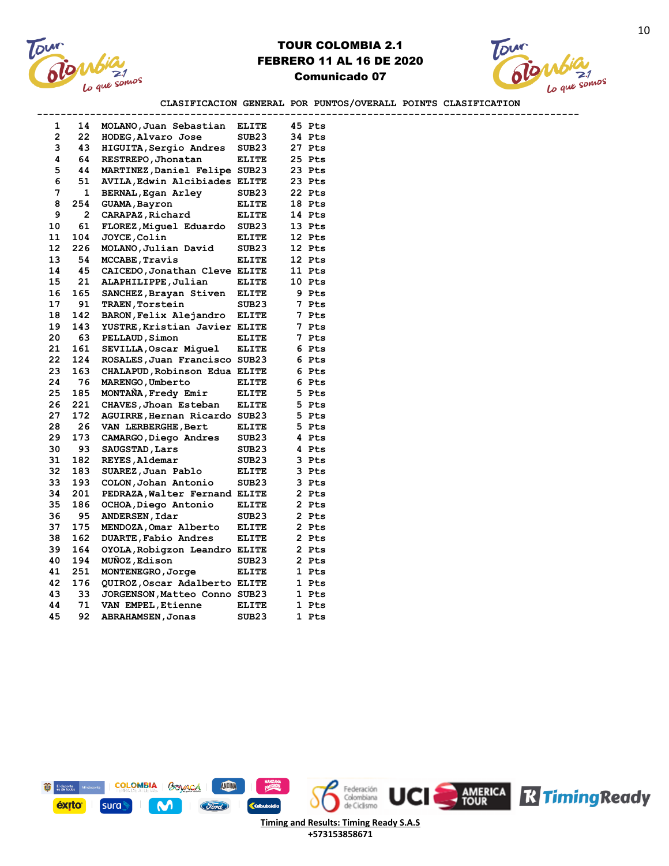



**CLASIFICACION GENERAL POR PUNTOS/OVERALL POINTS CLASIFICATION**

|              |     | ----------------------        |                   |        |  |
|--------------|-----|-------------------------------|-------------------|--------|--|
| 1            | 14  | MOLANO, Juan Sebastian        | <b>ELITE</b>      | 45 Pts |  |
| $\mathbf{2}$ | 22  | HODEG, Alvaro Jose            | SUB <sub>23</sub> | 34 Pts |  |
| 3            | 43  | HIGUITA, Sergio Andres        | SUB <sub>23</sub> | 27 Pts |  |
| 4            | 64  | RESTREPO, Jhonatan            | <b>ELITE</b>      | 25 Pts |  |
| 5            | 44  | MARTINEZ, Daniel Felipe SUB23 |                   | 23 Pts |  |
| 6            | 51  | AVILA, Edwin Alcibiades ELITE |                   | 23 Pts |  |
| 7            | 1   | <b>BERNAL, Egan Arley</b>     | SUB23             | 22 Pts |  |
| 8            | 254 | GUAMA, Bayron                 | <b>ELITE</b>      | 18 Pts |  |
| 9            | 2   | CARAPAZ, Richard              | <b>ELITE</b>      | 14 Pts |  |
| 10           | 61  | FLOREZ, Miguel Eduardo        | SUB <sub>23</sub> | 13 Pts |  |
| 11           | 104 | <b>JOYCE, Colin</b>           | <b>ELITE</b>      | 12 Pts |  |
| 12           | 226 | MOLANO, Julian David          | SUB23             | 12 Pts |  |
| 13           | 54  | MCCABE, Travis                | <b>ELITE</b>      | 12 Pts |  |
| 14           | 45  | CAICEDO, Jonathan Cleve ELITE |                   | 11 Pts |  |
| 15           | 21  | ALAPHILIPPE, Julian           | <b>ELITE</b>      | 10 Pts |  |
| 16           | 165 | SANCHEZ, Brayan Stiven        | <b>ELITE</b>      | 9 Pts  |  |
| 17           | 91  | TRAEN, Torstein               | SUB <sub>23</sub> | 7 Pts  |  |
| 18           | 142 | BARON, Felix Alejandro        | <b>ELITE</b>      | 7 Pts  |  |
| 19           | 143 | YUSTRE, Kristian Javier ELITE |                   | 7 Pts  |  |
| 20           | 63  | PELLAUD, Simon                | <b>ELITE</b>      | 7 Pts  |  |
| 21           | 161 | SEVILLA, Oscar Miquel         | <b>ELITE</b>      | 6 Pts  |  |
| 22           | 124 | ROSALES, Juan Francisco SUB23 |                   | 6 Pts  |  |
| 23           | 163 | CHALAPUD, Robinson Edua ELITE |                   | 6 Pts  |  |
| 24           | 76  | MARENGO, Umberto              | <b>ELITE</b>      | 6 Pts  |  |
| 25           | 185 | MONTANA, Fredy Emir           | <b>ELITE</b>      | 5 Pts  |  |
| 26           | 221 | CHAVES, Jhoan Esteban         | <b>ELITE</b>      | 5 Pts  |  |
| 27           | 172 | AGUIRRE, Hernan Ricardo SUB23 |                   | 5 Pts  |  |
| 28           | 26  | VAN LERBERGHE, Bert           | <b>ELITE</b>      | 5 Pts  |  |
| 29           | 173 | CAMARGO, Diego Andres         | SUB <sub>23</sub> | 4 Pts  |  |
| 30           | 93  | SAUGSTAD, Lars                | SUB <sub>23</sub> | 4 Pts  |  |
| 31           | 182 | REYES, Aldemar                | SUB23             | 3 Pts  |  |
| 32           | 183 | SUAREZ, Juan Pablo            | <b>ELITE</b>      | 3 Pts  |  |
| 33           | 193 | COLON, Johan Antonio          | SUB <sub>23</sub> | 3 Pts  |  |
| 34           | 201 | PEDRAZA, Walter Fernand ELITE |                   | 2 Pts  |  |
| 35           | 186 | OCHOA, Diego Antonio          | <b>ELITE</b>      | 2 Pts  |  |
| 36           | 95  | ANDERSEN, Idar                | SUB23             | 2 Pts  |  |
| 37           | 175 | MENDOZA, Omar Alberto         | <b>ELITE</b>      | 2 Pts  |  |
| 38           | 162 | DUARTE, Fabio Andres          | <b>ELITE</b>      | 2 Pts  |  |
| 39           | 164 | OYOLA, Robigzon Leandro ELITE |                   | 2 Pts  |  |
| 40           | 194 | MUNOZ, Edison                 | SUB <sub>23</sub> | 2 Pts  |  |
| 41           | 251 | MONTENEGRO, Jorge             | <b>ELITE</b>      | 1 Pts  |  |
| 42           | 176 | QUIROZ, Oscar Adalberto ELITE |                   | 1 Pts  |  |
| 43           | 33  | JORGENSON, Matteo Conno SUB23 |                   | 1 Pts  |  |
| 44           | 71  | VAN EMPEL, Etienne            | <b>ELITE</b>      | 1 Pts  |  |
| 45           | 92  | <b>ABRAHAMSEN, Jonas</b>      | SUB <sub>23</sub> | 1 Pts  |  |
|              |     |                               |                   |        |  |

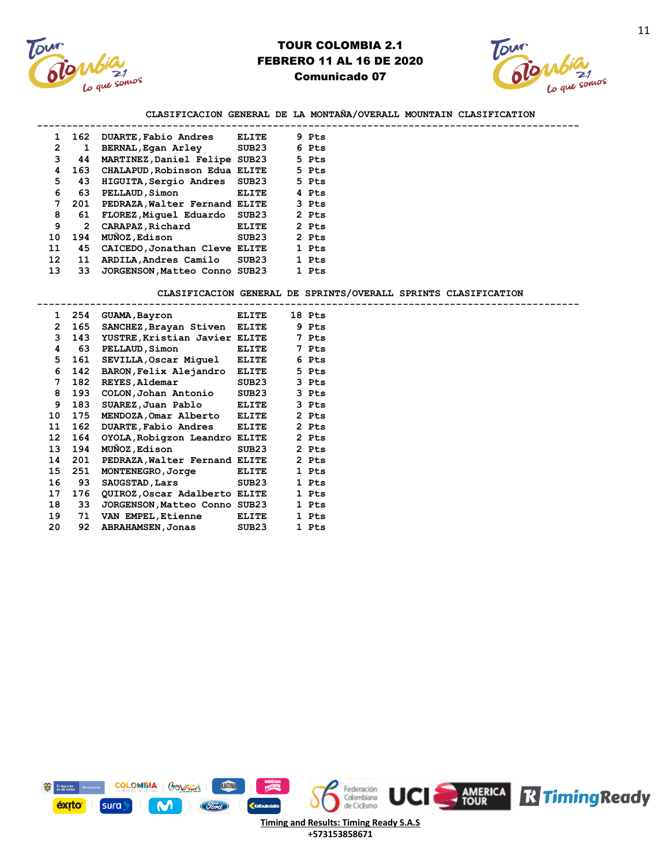



#### **CLASIFICACION GENERAL DE LA MONTAÑA/OVERALL MOUNTAIN CLASIFICATION --------------------------------------------------------------------------------------------**

| 1  | 162          | DUARTE, Fabio Andres          | <b>ELITE</b>      | 9 Pts |
|----|--------------|-------------------------------|-------------------|-------|
| 2  | 1            | BERNAL, Egan Arley            | SUB23             | 6 Pts |
| 3  | 44           | MARTINEZ, Daniel Felipe       | SUB23             | 5 Pts |
| 4  | 163          | CHALAPUD, Robinson Edua ELITE |                   | 5 Pts |
| 5  | 43           | HIGUITA, Sergio Andres        | SUB <sub>23</sub> | 5 Pts |
| 6  | 63           | PELLAUD, Simon                | <b>ELITE</b>      | 4 Pts |
| 7  | 201          | PEDRAZA, Walter Fernand ELITE |                   | 3 Pts |
| 8  | 61           | FLOREZ, Miquel Eduardo        | SUB23             | 2 Pts |
| 9  | $\mathbf{2}$ | CARAPAZ, Richard              | <b>ELITE</b>      | 2 Pts |
| 10 | 194          | <b>MUÑOZ, Edison</b>          | SUB23             | 2 Pts |
| 11 | 45           | CAICEDO, Jonathan Cleve       | <b>ELITE</b>      | 1 Pts |
| 12 | 11           | ARDILA, Andres Camilo         | SUB23             | 1 Pts |
| 13 | 33           | JORGENSON, Matteo Conno       | SUB23             | 1 Pts |

#### **CLASIFICACION GENERAL DE SPRINTS/OVERALL SPRINTS CLASIFICATION**

| $\mathbf{1}$ |     | 254 GUAMA, Bayron             | <b>ELITE</b> | 18 Pts |
|--------------|-----|-------------------------------|--------------|--------|
| $\mathbf{2}$ | 165 | SANCHEZ, Brayan Stiven ELITE  |              | 9 Pts  |
| 3            | 143 | YUSTRE, Kristian Javier ELITE |              | 7 Pts  |
| 4            | 63  | <b>PELLAUD, Simon</b>         | <b>ELITE</b> | 7 Pts  |
| 5            | 161 | SEVILLA, Oscar Miquel ELITE   |              | 6 Pts  |
| 6            | 142 | BARON, Felix Alejandro ELITE  |              | 5 Pts  |
| 7            | 182 | <b>REYES, Aldemar</b>         | SUB23        | 3 Pts  |
| 8            | 193 | COLON, Johan Antonio          | SUB23        | 3 Pts  |
| 9            | 183 | SUAREZ, Juan Pablo ELITE      |              | 3 Pts  |
| 10           | 175 | MENDOZA, Omar Alberto ELITE   |              | 2 Pts  |
| 11           | 162 | DUARTE, Fabio Andres ELITE    |              | 2 Pts  |
| 12           | 164 | OYOLA, Robigzon Leandro ELITE |              | 2 Pts  |
| 13           |     | 194 MUÑOZ, Edison             | SUB23        | 2 Pts  |
| 14           | 201 | PEDRAZA, Walter Fernand ELITE |              | 2 Pts  |
| 15           | 251 | MONTENEGRO, Jorge             | <b>ELITE</b> | 1 Pts  |
| 16           | 93  | SAUGSTAD, Lars                | SUB23        | 1 Pts  |
| 17           | 176 | QUIROZ,Oscar Adalberto ELITE  |              | 1 Pts  |
| 18           | 33  | JORGENSON, Matteo Conno SUB23 |              | 1 Pts  |
| 19           | 71  | VAN EMPEL, Etienne            | <b>ELITE</b> | 1 Pts  |
| 20           | 92  | <b>ABRAHAMSEN, Jonas</b>      | SUB23        | 1 Pts  |

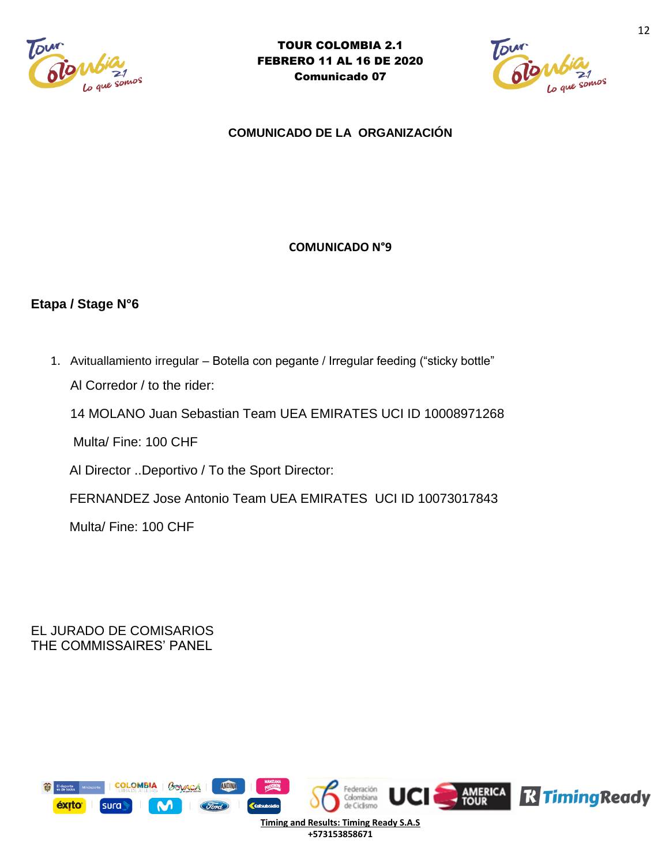



**COMUNICADO DE LA ORGANIZACIÓN** 

# **COMUNICADO N°9**

# **Etapa / Stage N°6**

1. Avituallamiento irregular – Botella con pegante / Irregular feeding ("sticky bottle" Al Corredor / to the rider:

14 MOLANO Juan Sebastian Team UEA EMIRATES UCI ID 10008971268

Multa/ Fine: 100 CHF

Al Director ..Deportivo / To the Sport Director:

FERNANDEZ Jose Antonio Team UEA EMIRATES UCI ID 10073017843

Multa/ Fine: 100 CHF

EL JURADO DE COMISARIOS THE COMMISSAIRES' PANEL